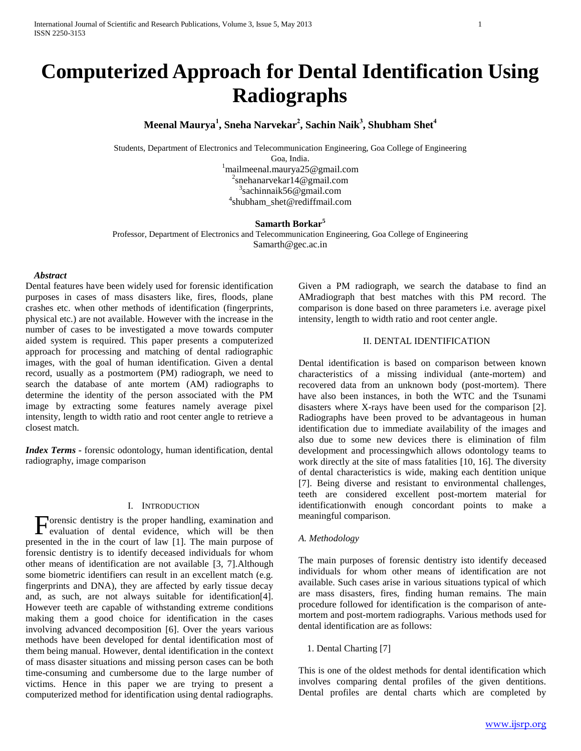# **Computerized Approach for Dental Identification Using Radiographs**

**Meenal Maurya<sup>1</sup> , Sneha Narvekar<sup>2</sup> , Sachin Naik<sup>3</sup> , Shubham Shet<sup>4</sup>**

Students, Department of Electronics and Telecommunication Engineering, Goa College of Engineering Goa, India. <sup>1</sup>mailmeenal.maurya25@gmail.com 2 snehanarvekar14@gmail.com

<sup>3</sup>[sachinnaik56@gmail.com](mailto:3sachinnaik56@gmail.com)

4 shubham\_shet@rediffmail.com

# **Samarth Borkar<sup>5</sup>**

Professor, Department of Electronics and Telecommunication Engineering, Goa College of Engineering Samarth@gec.ac.in

# *Abstract*

Dental features have been widely used for forensic identification purposes in cases of mass disasters like, fires, floods, plane crashes etc. when other methods of identification (fingerprints, physical etc.) are not available. However with the increase in the number of cases to be investigated a move towards computer aided system is required. This paper presents a computerized approach for processing and matching of dental radiographic images, with the goal of human identification. Given a dental record, usually as a postmortem (PM) radiograph, we need to search the database of ante mortem (AM) radiographs to determine the identity of the person associated with the PM image by extracting some features namely average pixel intensity, length to width ratio and root center angle to retrieve a closest match.

*Index Terms -* forensic odontology, human identification, dental radiography, image comparison

#### I. INTRODUCTION

Forensic dentistry is the proper handling, examination and evaluation of dental evidence, which will be then evaluation of dental evidence, which will be then presented in the in the court of law [1]. The main purpose of forensic dentistry is to identify deceased individuals for whom other means of identification are not available [3, 7].Although some biometric identifiers can result in an excellent match (e.g. fingerprints and DNA), they are affected by early tissue decay and, as such, are not always suitable for identification[4]. However teeth are capable of withstanding extreme conditions making them a good choice for identification in the cases involving advanced decomposition [6]. Over the years various methods have been developed for dental identification most of them being manual. However, dental identification in the context of mass disaster situations and missing person cases can be both time-consuming and cumbersome due to the large number of victims. Hence in this paper we are trying to present a computerized method for identification using dental radiographs.

Given a PM radiograph, we search the database to find an AMradiograph that best matches with this PM record. The comparison is done based on three parameters i.e. average pixel intensity, length to width ratio and root center angle.

# II. DENTAL IDENTIFICATION

Dental identification is based on comparison between known characteristics of a missing individual (ante-mortem) and recovered data from an unknown body (post-mortem). There have also been instances, in both the WTC and the Tsunami disasters where X-rays have been used for the comparison [2]. Radiographs have been proved to be advantageous in human identification due to immediate availability of the images and also due to some new devices there is elimination of film development and processingwhich allows odontology teams to work directly at the site of mass fatalities [10, 16]. The diversity of dental characteristics is wide, making each dentition unique [7]. Being diverse and resistant to environmental challenges, teeth are considered excellent post-mortem material for identificationwith enough concordant points to make a meaningful comparison.

#### *A. Methodology*

The main purposes of forensic dentistry isto identify deceased individuals for whom other means of identification are not available. Such cases arise in various situations typical of which are mass disasters, fires, finding human remains. The main procedure followed for identification is the comparison of antemortem and post-mortem radiographs. Various methods used for dental identification are as follows:

1. Dental Charting [7]

This is one of the oldest methods for dental identification which involves comparing dental profiles of the given dentitions. Dental profiles are dental charts which are completed by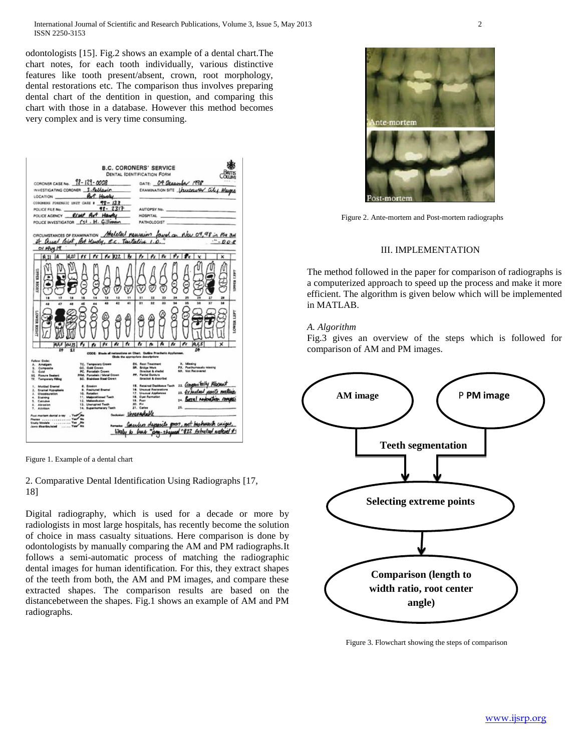odontologists [15]. Fig.2 shows an example of a dental chart.The chart notes, for each tooth individually, various distinctive features like tooth present/absent, crown, root morphology, dental restorations etc. The comparison thus involves preparing dental chart of the dentition in question, and comparing this chart with those in a database. However this method becomes very complex and is very time consuming.

|                                                                                                                                                                                                                                                                                         | <b>B.C. CORONERS' SERVICE</b><br><b>DENTAL IDENTIFICATION FORM</b>                                                                                                                                                                |  |  |
|-----------------------------------------------------------------------------------------------------------------------------------------------------------------------------------------------------------------------------------------------------------------------------------------|-----------------------------------------------------------------------------------------------------------------------------------------------------------------------------------------------------------------------------------|--|--|
| CORONER CASE No. 98-129-0008<br>INVESTIGATING CORONER S. Pellawin<br>for Hooky<br>LOCATION                                                                                                                                                                                              | DATE: 09 Deasywas 1898<br>EXAMINATION SITE <b>Lauceaurer</b> City Mayore                                                                                                                                                          |  |  |
| $78 - 123$<br>CORONERS FOREMSIC UNIT CASE #<br><b>91-2317</b><br>POLICE FILE No.<br>RIMP Art Hander<br>POLICE AGENCY<br>POLICE INVESTIGATOR (SI. H. Gilliman                                                                                                                            | <b>AUTOPSY No.</b><br><b>HOSPITAL</b><br><b>PATHOLOGIST</b>                                                                                                                                                                       |  |  |
| CIRCUMSTANCES OF EXAMINATION Meleted remember found on Nov 09,98 in the<br>Qual loint, Ret Hendy, R.C. Textalist 1.0.<br>$O/Hv1$ 19                                                                                                                                                     | 00                                                                                                                                                                                                                                |  |  |
| $0.10$ $\beta$ $\gamma$  <br>$\sim$<br>$r \times 122$<br>ñ                                                                                                                                                                                                                              | $P_r$ $P_c$<br>$P_K$ $P_K$<br>$\gamma$<br>v<br>×                                                                                                                                                                                  |  |  |
| <b>TPRE</b><br>NOIX<br>11<br>18<br>17<br>14<br>13                                                                                                                                                                                                                                       | 25<br>$\mathbf{r}$<br>28<br>27                                                                                                                                                                                                    |  |  |
| 43<br>$\bullet$<br>41<br>48<br>48<br>48<br>47<br>44<br><b>RELAND</b>                                                                                                                                                                                                                    | 31<br>32<br>33<br>14<br>$\overline{1}$<br>$\overline{1}$<br>14<br>38<br>E<br><b>OWTER</b>                                                                                                                                         |  |  |
| ex                                                                                                                                                                                                                                                                                      | r×                                                                                                                                                                                                                                |  |  |
|                                                                                                                                                                                                                                                                                         | CODE: Elude al restarations on Chert. Outline Prosthetic Appliances.<br>Clinie the appropriate descriptions                                                                                                                       |  |  |
| Fellow Code:<br>TC. Temperary Crown<br>A. Amalgam<br>GC. Gold Crewn<br>5. Composite<br>PC. Percelain Crown<br>G. Gold<br>PFM. Porcelain / Metal Crown<br><b>SE Figure Sealant</b><br>SC. Stainless Steel Crown<br>TF. Tamporary Filling                                                 | X. Missing<br><b>EN. Reat Treatment</b><br><b>PX.</b> Posthumously missing<br><b>SR.</b> Bridge Work<br>NR. Not Recovered<br><b>Chrocket &amp; shedel</b><br>PP. Partial Dennurs<br><b>Ibracket &amp; describe)</b>               |  |  |
| <b>8. Erosian</b><br>1. Mottled Enamel<br>9. Freehold Enamel<br>2. Enamel Hypoplasia<br>10. Retation<br>1. Dissolouration<br>11. Malpositioned Testh<br>4. Staining<br>12. Malaechusian<br>5. Calculus<br>13. Unerupted Testh<br>4. Abrasian<br>14. Supernumerary Testh<br>7. Attrition | 22. Congressitatly Absent<br>15. Retained Desiduous Taxih<br>16. Unusual Restarations<br>23. Extended pents meet<br>17. Unusual Applances<br>18. Cyst Farmation<br>24. Borral nethostics con<br>19. Post<br>30. Pin<br>21. Carlos |  |  |
| Post martem dental array . Yes<br>Me<br>Photos  Yes" No.<br>Study Models  Yes<br>You No<br>Jawa disartisulated                                                                                                                                                                          | overwar Unneverkable<br>numer Caudeo deposits gross, not his huse unique,                                                                                                                                                         |  |  |
|                                                                                                                                                                                                                                                                                         | likely to here "pay-skeyeed"#22 Extracted arcterist #1                                                                                                                                                                            |  |  |

Figure 1. Example of a dental chart

2. Comparative Dental Identification Using Radiographs [17, 18]

Digital radiography, which is used for a decade or more by radiologists in most large hospitals, has recently become the solution of choice in mass casualty situations. Here comparison is done by odontologists by manually comparing the AM and PM radiographs.It follows a semi-automatic process of matching the radiographic dental images for human identification. For this, they extract shapes of the teeth from both, the AM and PM images, and compare these extracted shapes. The comparison results are based on the distancebetween the shapes. Fig.1 shows an example of AM and PM radiographs.



Figure 2. Ante-mortem and Post-mortem radiographs

# III. IMPLEMENTATION

The method followed in the paper for comparison of radiographs is a computerized approach to speed up the process and make it more efficient. The algorithm is given below which will be implemented in MATLAB.

### *A. Algorithm*

Fig.3 gives an overview of the steps which is followed for comparison of AM and PM images.



Figure 3. Flowchart showing the steps of comparison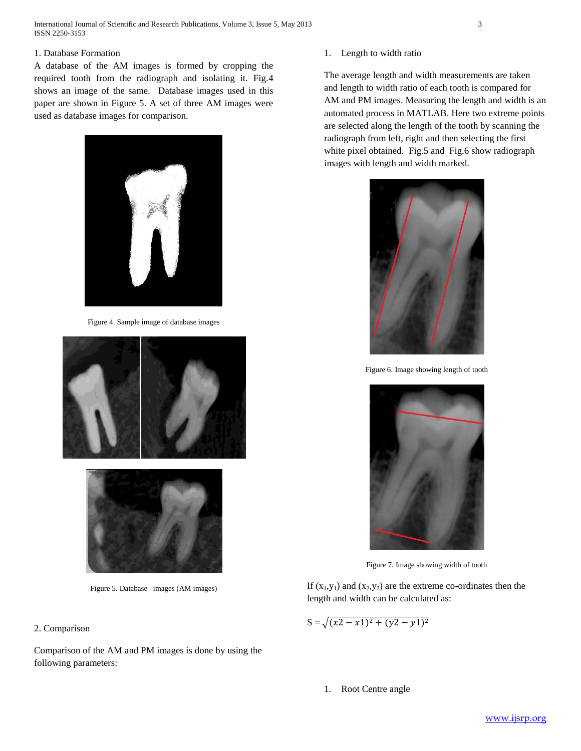International Journal of Scientific and Research Publications, Volume 3, Issue 5, May 2013 3 ISSN 2250-3153

# 1. Database Formation

A database of the AM images is formed by cropping the required tooth from the radiograph and isolating it. Fig.4 shows an image of the same. Database images used in this paper are shown in Figure 5. A set of three AM images were used as database images for comparison.



Figure 4. Sample image of database images





Figure 5. Database images (AM images)

# 2. Comparison

Comparison of the AM and PM images is done by using the following parameters:

1. Length to width ratio

The average length and width measurements are taken and length to width ratio of each tooth is compared for AM and PM images. Measuring the length and width is an automated process in MATLAB. Here two extreme points are selected along the length of the tooth by scanning the radiograph from left, right and then selecting the first white pixel obtained. Fig.5 and Fig.6 show radiograph images with length and width marked.



Figure 6. Image showing length of tooth



Figure 7. Image showing width of tooth

If  $(x_1,y_1)$  and  $(x_2,y_2)$  are the extreme co-ordinates then the length and width can be calculated as:

$$
S = \sqrt{(x^2 - x^2)^2 + (y^2 - y^2)^2}
$$

1. Root Centre angle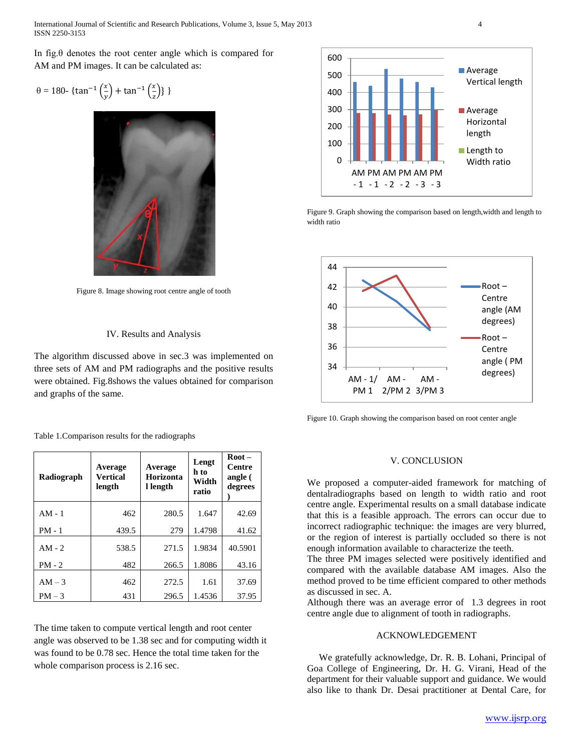International Journal of Scientific and Research Publications, Volume 3, Issue 5, May 2013 4 ISSN 2250-3153

In fig.θ denotes the root center angle which is compared for AM and PM images. It can be calculated as:

$$
\theta = 180 - \{\tan^{-1}\left(\frac{x}{y}\right) + \tan^{-1}\left(\frac{x}{z}\right)\}\}
$$



Figure 8. Image showing root centre angle of tooth

#### IV. Results and Analysis

The algorithm discussed above in sec.3 was implemented on three sets of AM and PM radiographs and the positive results were obtained. Fig.8shows the values obtained for comparison and graphs of the same.

Table 1.Comparison results for the radiographs

| Radiograph | Average<br><b>Vertical</b><br>length | Average<br>Horizonta<br>l length | Lengt<br>h to<br>Width<br>ratio | $Root -$<br>Centre<br>angle (<br>degrees |
|------------|--------------------------------------|----------------------------------|---------------------------------|------------------------------------------|
| $AM - 1$   | 462                                  | 280.5                            | 1.647                           | 42.69                                    |
| $PM - 1$   | 439.5                                | 279                              | 1.4798                          | 41.62                                    |
| $AM - 2$   | 538.5                                | 271.5                            | 1.9834                          | 40.5901                                  |
| $PM - 2$   | 482                                  | 266.5                            | 1.8086                          | 43.16                                    |
| $AM - 3$   | 462                                  | 272.5                            | 1.61                            | 37.69                                    |
| $PM - 3$   | 431                                  | 296.5                            | 1.4536                          | 37.95                                    |

The time taken to compute vertical length and root center angle was observed to be 1.38 sec and for computing width it was found to be 0.78 sec. Hence the total time taken for the whole comparison process is 2.16 sec.



Figure 9. Graph showing the comparison based on length,width and length to width ratio



Figure 10. Graph showing the comparison based on root center angle

#### V. CONCLUSION

We proposed a computer-aided framework for matching of dentalradiographs based on length to width ratio and root centre angle. Experimental results on a small database indicate that this is a feasible approach. The errors can occur due to incorrect radiographic technique: the images are very blurred, or the region of interest is partially occluded so there is not enough information available to characterize the teeth.

The three PM images selected were positively identified and compared with the available database AM images. Also the method proved to be time efficient compared to other methods as discussed in sec. A.

Although there was an average error of 1.3 degrees in root centre angle due to alignment of tooth in radiographs.

#### ACKNOWLEDGEMENT

 We gratefully acknowledge, Dr. R. B. Lohani, Principal of Goa College of Engineering, Dr. H. G. Virani, Head of the department for their valuable support and guidance. We would also like to thank Dr. Desai practitioner at Dental Care, for